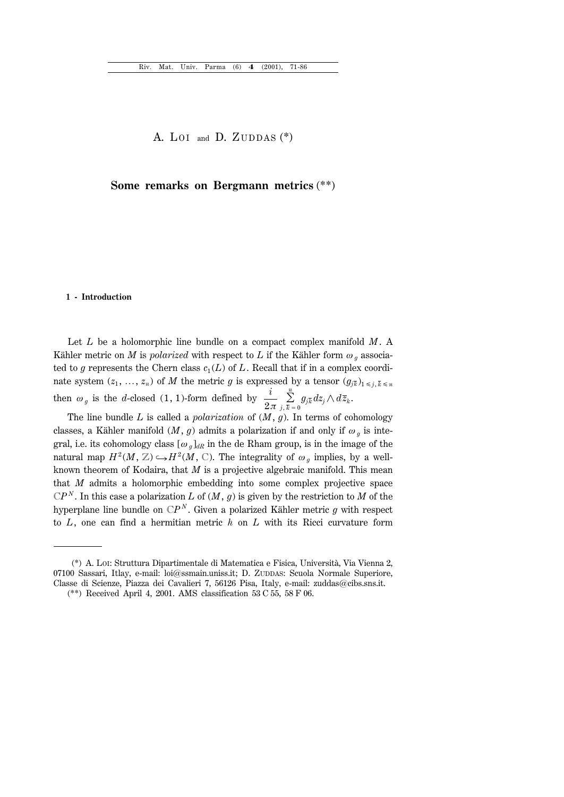A. LOI and D. ZUDDAS  $(*)$ 

# **Some remarks on Bergmann metrics** (\*\*)

#### **1 - Introduction**

Let *L* be a holomorphic line bundle on a compact complex manifold *M*. A Kähler metric on *M* is *polarized* with respect to *L* if the Kähler form  $\omega_q$  associated to *g* represents the Chern class  $c_1(L)$  of *L*. Recall that if in a complex coordinate system  $(z_1, ..., z_n)$  of *M* the metric *g* is expressed by a tensor  $(g_{jk})_{1 \le j, \bar{k} \le n}$ then  $\omega_g$  is the *d*-closed (1, 1)-form defined by  $\frac{i}{2\pi} \sum_{j,\bar{k}=0}^n$  $\sum\limits_{j=1}^n g_{j\overline{k}}dz_j\wedge d\overline{z}_k$  .

The line bundle *L* is called a *polarization* of (*M*, *g*). In terms of cohomology classes, a Kähler manifold  $(M, g)$  admits a polarization if and only if  $\omega_g$  is integral, i.e. its cohomology class  $[\omega_g]_{dR}$  in the de Rham group, is in the image of the natural map  $H^2(M, \mathbb{Z}) \hookrightarrow H^2(M, \mathbb{C})$ . The integrality of  $\omega_g$  implies, by a wellknown theorem of Kodaira, that *M* is a projective algebraic manifold. This mean that *M* admits a holomorphic embedding into some complex projective space  $\mathbb{C}P^N$ . In this case a polarization *L* of  $(M, g)$  is given by the restriction to *M* of the hyperplane line bundle on  $\mathbb{C}P^N$ . Given a polarized Kähler metric *g* with respect to *L*, one can find a hermitian metric *h* on *L* with its Ricci curvature form

<sup>(\*)</sup> A. LOI: Struttura Dipartimentale di Matematica e Fisica, Università, Via Vienna 2, 07100 Sassari, Itlay, e-mail: loi@ssmain.uniss.it; D. ZUDDAS: Scuola Normale Superiore, Classe di Scienze, Piazza dei Cavalieri 7, 56126 Pisa, Italy, e-mail: zuddas $@c$ ibs.sns.it.

<sup>(\*\*)</sup> Received April 4, 2001. AMS classification 53 C 55, 58 F 06.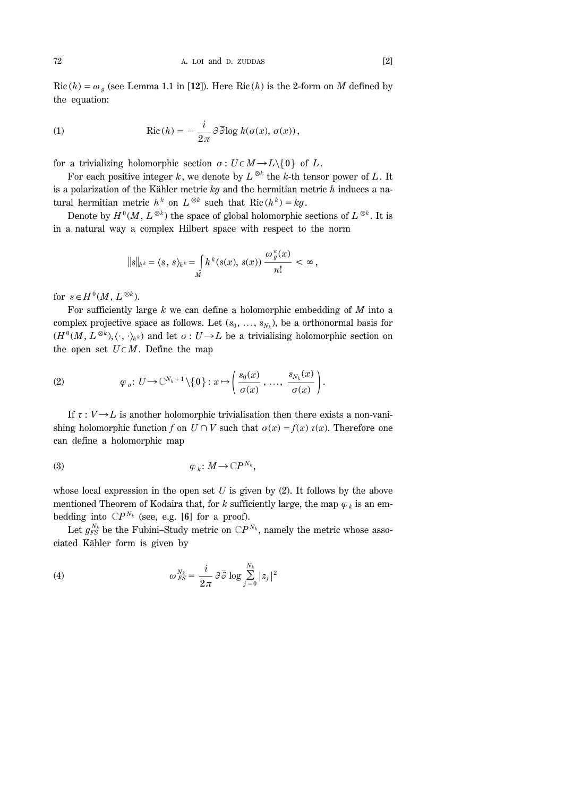72 A. LOI and D. ZUDDAS [2]

Ric  $(h) = \omega_g$  (see Lemma 1.1 in [12]). Here Ric  $(h)$  is the 2-form on *M* defined by the equation:

(1) 
$$
\operatorname{Ric}(h) = -\frac{i}{2\pi} \partial \overline{\partial} \log h(\sigma(x), \sigma(x)),
$$

for a trivializing holomorphic section  $\sigma: U \subset M \to L \setminus \{0\}$  of *L*.

For each positive integer *k*, we denote by  $L^{\otimes k}$  the *k*-th tensor power of *L*. It is a polarization of the Kähler metric *kg* and the hermitian metric *h* induces a natural hermitian metric  $h^k$  on  $L^{\otimes k}$  such that Ric  $(h^k) = kg$ .

Denote by  $H^0(M, L^{\otimes k})$  the space of global holomorphic sections of  $L^{\otimes k}$ . It is in a natural way a complex Hilbert space with respect to the norm

$$
||s||_{h^k} = \langle s, s \rangle_{h^k} = \int_{M} h^k(s(x), s(x)) \frac{\omega_g^n(x)}{n!} < \infty,
$$

for  $s \in H^0(M, L^{\otimes k})$ .

For sufficiently large *k* we can define a holomorphic embedding of *M* into a complex projective space as follows. Let  $(s_0, \ldots, s_{N_k})$ , be a orthonormal basis for  $(H^0(M, L^{\otimes k}), \langle \cdot, \cdot \rangle_{h^k})$  and let  $\sigma: U \to L$  be a trivialising holomorphic section on the open set  $U \subset M$ . Define the map

(2) 
$$
\varphi_{\sigma}: U \to \mathbb{C}^{N_k+1} \setminus \{0\}: x \mapsto \left(\frac{s_0(x)}{\sigma(x)}, \ldots, \frac{s_{N_k}(x)}{\sigma(x)}\right).
$$

If  $\tau : V \rightarrow L$  is another holomorphic trivialisation then there exists a non-vanishing holomorphic function *f* on  $U \cap V$  such that  $\sigma(x) = f(x) \tau(x)$ . Therefore one can define a holomorphic map

$$
\varphi_k\colon M\to\mathbb{C}P^{N_k},
$$

whose local expression in the open set *U* is given by (2). It follows by the above mentioned Theorem of Kodaira that, for *k* sufficiently large, the map  $\varphi_k$  is an embedding into  $\mathbb{C}P^{N_k}$  (see, e.g. [6] for a proof).

Let  $g_{FS}^{N_k}$  be the Fubini–Study metric on  $\mathbb{C}P^{N_k}$ , namely the metric whose associated Kähler form is given by

(4) 
$$
\omega_{FS}^{N_k} = \frac{i}{2\pi} \partial \overline{\partial} \log \sum_{j=0}^{N_k} |z_j|^2
$$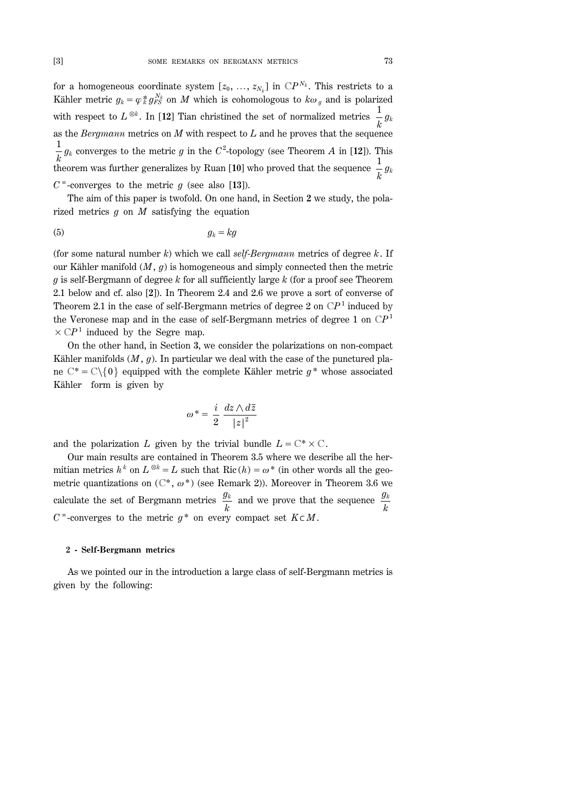for a homogeneous coordinate system  $[z_0, \ldots, z_{N_k}]$  in  $\mathbb{C}P^{N_k}$ . This restricts to a Kähler metric  $g_k = \varphi_k^* g_{FS}^{N_k}$  on *M* which is cohomologous to  $k\omega_g$  and is polarized with respect to  $L^{\otimes k}$ . In [12] Tian christined the set of normalized metrics  $\frac{1}{k}g_k$ as the *Bergmann* metrics on *M* with respect to *L* and he proves that the sequence  $\frac{1}{k}$  *g<sub>k</sub>* converges to the metric *g* in the *C*<sup>2</sup>-topology (see Theorem *A* in [12]). This  $\frac{k}{k}$  theorem was further generalizes by Ruan [10] who proved that the sequence  $\frac{1}{k}g_k$  $C^{\infty}$ -converges to the metric *g* (see also [13]).

The aim of this paper is twofold. On one hand, in Section **2** we study, the polarized metrics *g* on *M* satisfying the equation

$$
(5) \t\t g_k = kg
$$

(for some natural number *k*) which we call *self-Bergmann* metrics of degree *k*. If our Kähler manifold  $(M, g)$  is homogeneous and simply connected then the metric *g* is self-Bergmann of degree *k* for all sufficiently large *k* (for a proof see Theorem 2.1 below and cf. also [**2**]). In Theorem 2.4 and 2.6 we prove a sort of converse of Theorem 2.1 in the case of self-Bergmann metrics of degree 2 on  $\mathbb{C}P<sup>1</sup>$  induced by the Veronese map and in the case of self-Bergmann metrics of degree 1 on C*P*<sup>1</sup>  $\times$  CP<sup>1</sup> induced by the Segre map.

On the other hand, in Section **3**, we consider the polarizations on non-compact Kähler manifolds (*M*, *g*). In particular we deal with the case of the punctured plane  $\mathbb{C}^* = \mathbb{C}\backslash\{0\}$  equipped with the complete Kähler metric  $g^*$  whose associated Kähler form is given by

$$
\omega^* = \frac{i}{2} \frac{dz \wedge d\overline{z}}{|z|^2}
$$

and the polarization *L* given by the trivial bundle  $L = \mathbb{C}^* \times \mathbb{C}$ .

Our main results are contained in Theorem 3.5 where we describe all the hermitian metrics  $h^k$  on  $L^{\otimes k} = L$  such that Ric  $(h) = \omega^*$  (in other words all the geometric quantizations on  $(\mathbb{C}^*, \omega^*)$  (see Remark 2)). Moreover in Theorem 3.6 we calculate the set of Bergmann metrics  $\frac{g_k}{k}$  and we prove that the sequence  $\frac{g_k}{k}$  $C^{\infty}$ -converges to the metric  $g^*$  on every compact set  $K \subset M$ .

### **2 - Self-Bergmann metrics**

As we pointed our in the introduction a large class of self-Bergmann metrics is given by the following: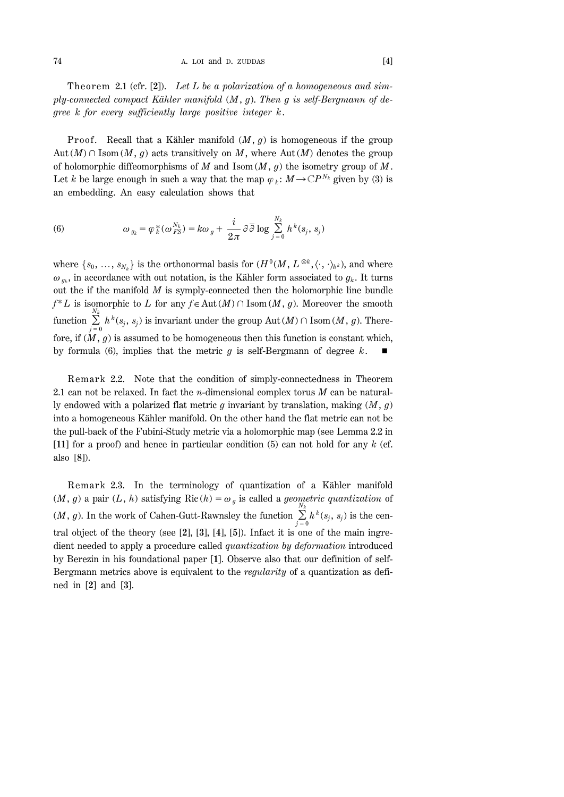74 A. LOI and D. ZUDDAS [4]

Theorem 2.1 (cfr. [2]). Let L be a polarization of a homogeneous and sim*ply-connected compact Kähler manifold* (*M*, *g*). *Then g is self-Bergmann of degree k for every sufficiently large positive integer k*.

Proof. Recall that a Kähler manifold  $(M, g)$  is homogeneous if the group Aut  $(M) \cap \text{Isom}(M, g)$  acts transitively on M, where Aut  $(M)$  denotes the group of holomorphic diffeomorphisms of *M* and Isom (*M*, *g*) the isometry group of *M*. Let *k* be large enough in such a way that the map  $\varphi_k$ :  $M \to \mathbb{C}P^{N_k}$  given by (3) is an embedding. An easy calculation shows that

(6) 
$$
\omega_{g_k} = \varphi_k^*(\omega_{FS}^{N_k}) = k\omega_g + \frac{i}{2\pi} \partial \overline{\partial} \log \sum_{j=0}^{N_k} h^k(s_j, s_j)
$$

where  $\{s_0, \ldots, s_{N_k}\}\$ is the orthonormal basis for  $(H^0(M, L^{\otimes k}, \langle \cdot, \cdot \rangle_{h^k})$ , and where  $\omega_{g_k}$ , in accordance with out notation, is the Kähler form associated to  $g_k$ . It turns out the if the manifold *M* is symply-connected then the holomorphic line bundle  $f^*L$  is isomorphic to *L* for any  $f \in Aut(M) \cap Isom(M, g)$ . Moreover the smooth function  $\sum_{j=0}^{N_k}$  $\sum_{i=1}^{N_k} h^k(s_j, s_j)$  is invariant under the group Aut  $(M) \cap \text{Isom}(M, g)$ . Therefore, if  $(M, g)$  is assumed to be homogeneous then this function is constant which, by formula (6), implies that the metric  $g$  is self-Bergmann of degree  $k$ .

Remark 2.2. Note that the condition of simply-connectedness in Theorem 2.1 can not be relaxed. In fact the *n*-dimensional complex torus *M* can be naturally endowed with a polarized flat metric *g* invariant by translation, making (*M*, *g*) into a homogeneous Kähler manifold. On the other hand the flat metric can not be the pull-back of the Fubini-Study metric via a holomorphic map (see Lemma 2.2 in [**11**] for a proof) and hence in particular condition (5) can not hold for any *k* (cf. also [**8**]).

Remark 2.3. In the terminology of quantization of a Kähler manifold  $(M, g)$  a pair  $(L, h)$  satisfying Ric  $(h) = \omega_g$  is called a *geometric quantization* of  $(M, g)$ . In the work of Cahen-Gutt-Rawnsley the function  $\sum_{j=0}^{N_k}$  $\sum_{j=1}^{N_k} h^k(s_j, s_j)$  is the central object of the theory (see [**2**], [**3**], [**4**], [**5**]). Infact it is one of the main ingredient needed to apply a procedure called *quantization by deformation* introduced by Berezin in his foundational paper [**1**]. Observe also that our definition of self-Bergmann metrics above is equivalent to the *regularity* of a quantization as defined in [**2**] and [**3**].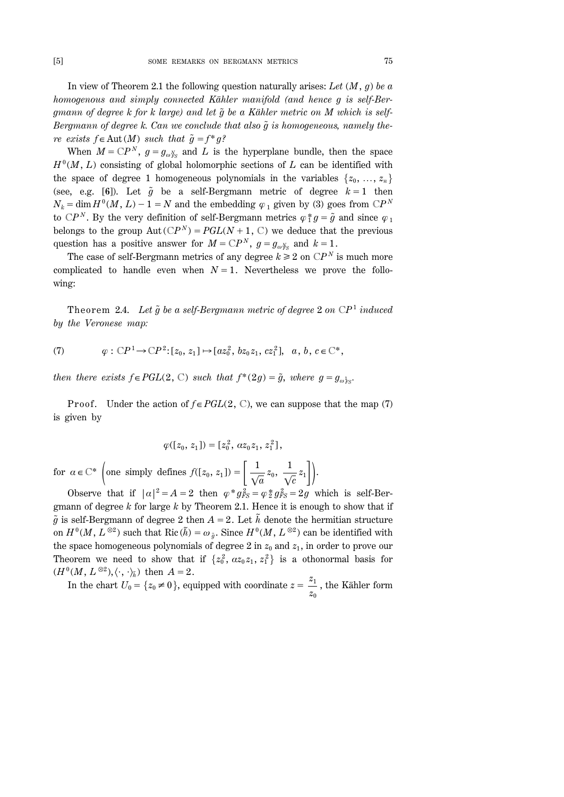In view of Theorem 2.1 the following question naturally arises: *Let* (*M*, *g*) *be a homogenous and simply connected Kähler manifold (and hence g is self-Ber* $g$ mann of degree  $k$  for  $k$  large) and let  $\tilde{g}$  be a Kähler metric on M which is self-*Bergmann of degree k. Can we conclude that also*  $\tilde{q}$  *is homogeneous, namely there exists f*  $\in$  Aut(*M*) *such that*  $\tilde{g} = f^* g$ ?

When  $M = \mathbb{C}P^N$ ,  $g = g_{\omega_{FS}^N}$  and *L* is the hyperplane bundle, then the space  $H^0(M, L)$  consisting of global holomorphic sections of *L* can be identified with the space of degree 1 homogeneous polynomials in the variables  $\{z_0, \ldots, z_n\}$ (see, e.g. [6]). Let  $\tilde{g}$  be a self-Bergmann metric of degree  $k=1$  then  $N_k = \dim H^0(M, L) - 1 = N$  and the embedding  $\varphi_1$  given by (3) goes from C*P*<sup>*N*</sup> to  $\mathbb{C}P^N$ . By the very definition of self-Bergmann metrics  $\varphi_1^* g = \tilde{g}$  and since  $\varphi_1$ belongs to the group  $Aut(CP^N) = PGL(N + 1, C)$  we deduce that the previous question has a positive answer for  $M = \mathbb{C}P^N$ ,  $g = g_{\omega_{FS}^N}$  and  $k = 1$ .

The case of self-Bergmann metrics of any degree  $k \geq 2$  on  $\mathbb{C}P^N$  is much more complicated to handle even when  $N=1$ . Nevertheless we prove the following:

Theorem 2.4. Let  $\tilde{g}$  be a self-Bergmann metric of degree 2 on  $\mathbb{C}P^1$  *induced by the Veronese map:*

(7) 
$$
\varphi : \mathbb{C}P^1 \to \mathbb{C}P^2 : [z_0, z_1] \mapsto [az_0^2, bz_0z_1, cz_1^2], a, b, c \in \mathbb{C}^*,
$$

*then there exists*  $f \in PGL(2, \mathbb{C})$  *<i>such that*  $f^*(2g) = \tilde{g}$ *, where*  $g = g_{\omega_{FS}}$ *.* 

Proof. Under the action of  $f \in PGL(2, \mathbb{C})$ , we can suppose that the map (7) is given by

$$
\varphi([z_0, z_1]) = [z_0^2, \alpha z_0 z_1, z_1^2],
$$

for  $a \in \mathbb{C}^*$  (one simply defines  $f([z_0, z_1]) = \left[\frac{1}{\sqrt{a}}\right]$  $z_0 , \; \frac{1}{\sqrt{2}}$  $\frac{1}{\sqrt{c}}z_1\Bigg]\Bigg).$ 

Observe that if  $|\alpha|^2 = A = 2$  then  $\varphi * g_{FS}^2 = \varphi * g_{FS}^2 = 2g$  which is self-Bergmann of degree *k* for large *k* by Theorem 2.1. Hence it is enough to show that if  $\tilde{g}$  is self-Bergmann of degree 2 then  $A=2$ . Let  $\tilde{h}$  denote the hermitian structure on  $H^0(M, L^{\otimes 2})$  such that Ric  $(\tilde{h}) = \omega_{\tilde{g}}$ . Since  $H^0(M, L^{\otimes 2})$  can be identified with the space homogeneous polynomials of degree 2 in  $z_0$  and  $z_1$ , in order to prove our Theorem we need to show that if  $\{z_0^2, \alpha z_0 z_1, z_1^2\}$  is a othonormal basis for  $(H^0(M, L^{\otimes 2}), \langle \cdot, \cdot \rangle_{\tilde{h}})$  then  $A = 2$ .

In the chart  $U_0 = \{z_0 \neq 0\}$ , equipped with coordinate  $z = \frac{z_1}{z_0}$ , the Kähler form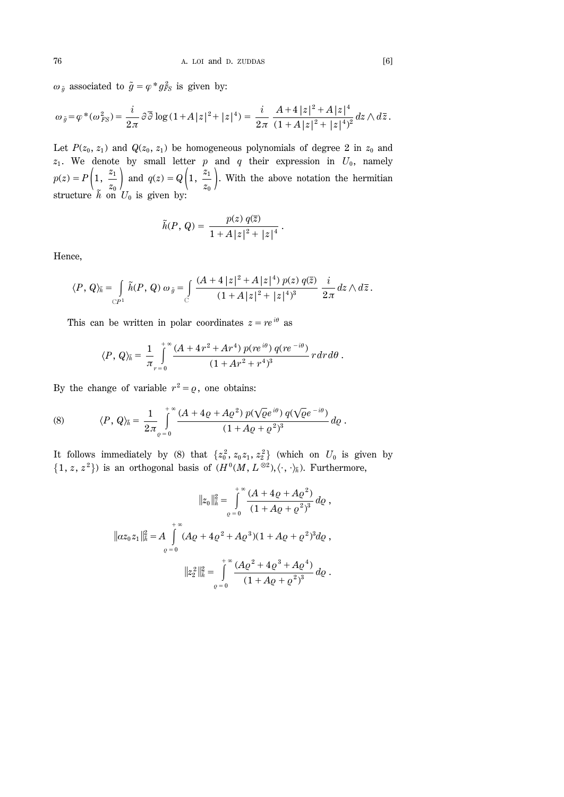$\omega_{\tilde{g}}$  associated to  $\tilde{g} = \varphi * g_{FS}^2$  is given by:

$$
\omega_{\tilde{g}} = \varphi^*(\omega_{FS}^2) = \frac{i}{2\pi} \partial \overline{\partial} \log (1 + A|z|^2 + |z|^4) = \frac{i}{2\pi} \frac{A + 4|z|^2 + A|z|^4}{(1 + A|z|^2 + |z|^4)^2} dz \wedge d\overline{z}.
$$

Let  $P(z_0, z_1)$  and  $Q(z_0, z_1)$  be homogeneous polynomials of degree 2 in  $z_0$  and  $z_1$ . We denote by small letter  $p$  and  $q$  their expression in  $U_0$ , namely  $p(z) = P\left(1, \frac{z_1}{z_2}\right)$  $\left(\frac{z_1}{z_0}\right)$  and  $q(z) = Q\left(1, \frac{z_1}{z_0}\right)$  $\left(\frac{z_1}{z_0}\right)$ . With the above notation the hermitian structure  $\tilde{h}$  on  $U_0$  is given by:

$$
\tilde{h}(P, Q) = \frac{p(z) q(\bar{z})}{1 + A |z|^2 + |z|^4}.
$$

Hence,

$$
\langle P, Q \rangle_{\tilde{h}} = \int_{\mathbb{C}P^1} \tilde{h}(P, Q) \omega_{\tilde{g}} = \int_{\mathbb{C}} \frac{(A + 4 |z|^2 + A |z|^4) p(z) q(\overline{z})}{(1 + A |z|^2 + |z|^4)^3} \frac{i}{2\pi} dz \wedge d\overline{z}.
$$

This can be written in polar coordinates  $z = re^{i\theta}$  as

$$
\langle P, Q \rangle_{\tilde{h}} = \frac{1}{\pi} \int_{r=0}^{+\infty} \frac{(A + 4r^2 + Ar^4) p(re^{i\theta}) q(re^{-i\theta})}{(1 + Ar^2 + r^4)^3} r dr d\theta.
$$

By the change of variable  $r^2 = \varrho$ , one obtains:

(8) 
$$
\langle P, Q \rangle_{\tilde{h}} = \frac{1}{2\pi} \int_{\varrho=0}^{+\infty} \frac{(A + 4\varrho + A\varrho^{2}) p(\sqrt{\varrho}e^{i\theta}) q(\sqrt{\varrho}e^{-i\theta})}{(1 + A\varrho + \varrho^{2})^{3}} d\varrho.
$$

It follows immediately by (8) that  $\{z_0^2, z_0 z_1, z_2^2\}$  (which on  $U_0$  is given by  $\{1, z, z^2\}$  is an orthogonal basis of  $(H^0(M, L^{\otimes 2}), \langle \cdot, \cdot \rangle_{\tilde{h}})$ . Furthermore,

$$
||z_0||_h^2 = \int_0^{\pi} \frac{(A + 4\varrho + A\varrho^2)}{(1 + A\varrho + \varrho^2)^3} d\varrho,
$$
  

$$
||az_0 z_1||_h^2 = A \int_{\varrho=0}^{\pi} (A\varrho + 4\varrho^2 + A\varrho^3)(1 + A\varrho + \varrho^2)^3 d\varrho,
$$
  

$$
||z_2^2||_h^2 = \int_0^{\pi} \frac{(A\varrho^2 + 4\varrho^3 + A\varrho^4)}{(1 + A\varrho + \varrho^2)^3} d\varrho.
$$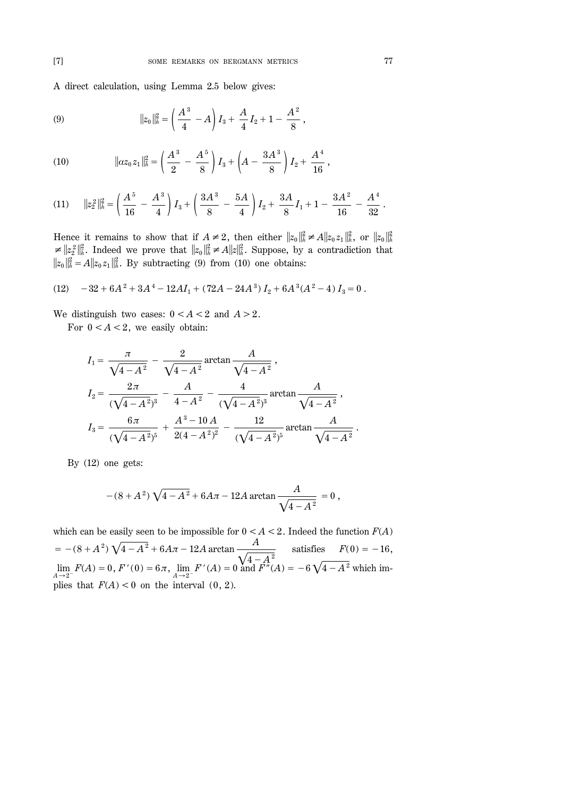A direct calculation, using Lemma 2.5 below gives:

(9) 
$$
\|z_0\|_{\tilde{h}}^2 = \left(\frac{A^3}{4} - A\right)I_3 + \frac{A}{4}I_2 + 1 - \frac{A^2}{8},
$$

(10) 
$$
\|az_0z_1\|_{\tilde{h}}^2 = \left(\frac{A^3}{2} - \frac{A^5}{8}\right)I_3 + \left(A - \frac{3A^3}{8}\right)I_2 + \frac{A^4}{16},
$$

$$
(11) \t\t ||z_2^2||_h^2 = \left(\frac{A^5}{16} - \frac{A^3}{4}\right)I_3 + \left(\frac{3A^3}{8} - \frac{5A}{4}\right)I_2 + \frac{3A}{8}I_1 + 1 - \frac{3A^2}{16} - \frac{A^4}{32}.
$$

Hence it remains to show that if  $A \neq 2$ , then either  $||z_0||_h^2 \neq A||z_0z_1||_h^2$ , or  $||z_0||_h^2$  $\leq ||z_2||_h^2$ . Indeed we prove that  $||z_0||_h^2 \neq A||z||_h^2$ . Suppose, by a contradiction that  $||z_0||_h^2 = A||z_0 z_1||_h^2$ . By subtracting (9) from (10) one obtains:

(12) 
$$
-32 + 6A^2 + 3A^4 - 12AI_1 + (72A - 24A^3)I_2 + 6A^3(A^2 - 4)I_3 = 0.
$$

We distinguish two cases:  $0 < A < 2$  and  $A > 2$ .

For  $0 < A < 2$ , we easily obtain:

$$
I_1 = \frac{\pi}{\sqrt{4 - A^2}} - \frac{2}{\sqrt{4 - A^2}} \arctan \frac{A}{\sqrt{4 - A^2}},
$$
  
\n
$$
I_2 = \frac{2\pi}{(\sqrt{4 - A^2})^3} - \frac{A}{4 - A^2} - \frac{4}{(\sqrt{4 - A^2})^3} \arctan \frac{A}{\sqrt{4 - A^2}},
$$
  
\n
$$
I_3 = \frac{6\pi}{(\sqrt{4 - A^2})^5} + \frac{A^3 - 10A}{2(4 - A^2)^2} - \frac{12}{(\sqrt{4 - A^2})^5} \arctan \frac{A}{\sqrt{4 - A^2}}.
$$

By (12) one gets:

$$
-(8+A^2)\sqrt{4-A^2}+6A\pi-12A\arctan\frac{A}{\sqrt{4-A^2}}=0,
$$

which can be easily seen to be impossible for  $0 < A < 2$ . Indeed the function  $F(A)$  $= -(8+A^2)\sqrt{4-A^2} + 6A\pi - 12A$  arctan  $\frac{A}{\sqrt{4A^2}}$  $\sqrt{4-A^2}$ satisfies  $F(0) = -16$ ,  $\lim_{A \to 2^{-}} F(A) = 0, F'(0) = 6\pi, \lim_{A \to 2^{-}} F'(A) = 0$  and  $\overline{F''}(A) = -6\sqrt{4 - A^2}$  which implies that  $F(A) < 0$  on the interval  $(0, 2)$ .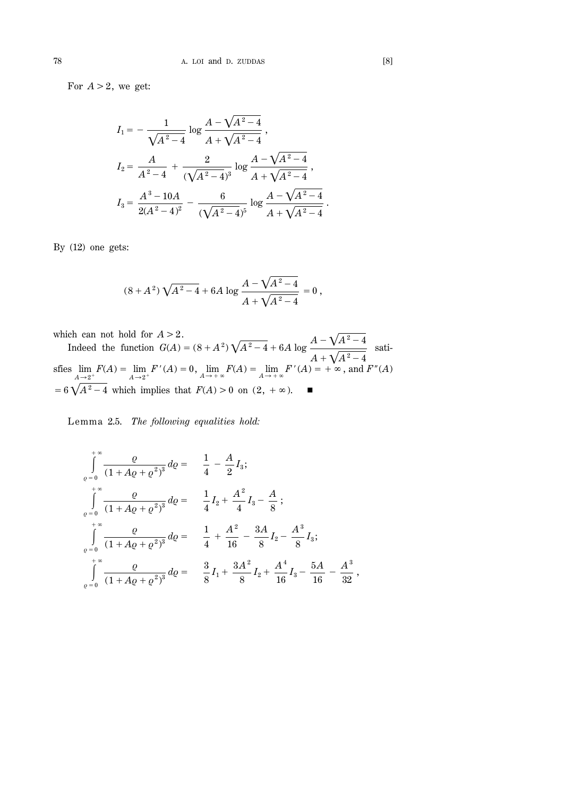For  $A > 2$ , we get:

$$
I_1 = -\frac{1}{\sqrt{A^2 - 4}} \log \frac{A - \sqrt{A^2 - 4}}{A + \sqrt{A^2 - 4}} ,
$$
  
\n
$$
I_2 = \frac{A}{A^2 - 4} + \frac{2}{(\sqrt{A^2 - 4})^3} \log \frac{A - \sqrt{A^2 - 4}}{A + \sqrt{A^2 - 4}} ,
$$
  
\n
$$
I_3 = \frac{A^3 - 10A}{2(A^2 - 4)^2} - \frac{6}{(\sqrt{A^2 - 4})^5} \log \frac{A - \sqrt{A^2 - 4}}{A + \sqrt{A^2 - 4}}
$$

By (12) one gets:

$$
(8+A^2)\sqrt{A^2-4}+6A\,\log\frac{A-\sqrt{A^2-4}}{A+\sqrt{A^2-4}}=0\,,
$$

which can not hold for  $A > 2$ .

Indeed the function  $G(A) = (8 + A^2) \sqrt{A^2 - 4} + 6A \log \frac{A - \sqrt{A^2 - 4}}{A}$  $A + \sqrt{A^2 - 4}$ satisfies lim  $\lim_{A \to 2^+} F(A) = \lim_{A \to 2^+} F'(A) = 0$ ,  $\lim_{A \to +\infty} F(A) = \lim_{A \to +\infty} F'(A) = +\infty$ , and  $F''(A)$  $=6\sqrt{A^2-4}$  which implies that  $F(A) > 0$  on  $(2, +\infty)$ .

Lemma 2.5. *The following equalities hold:* 

$$
\int_{\varrho=0}^{+\infty} \frac{\varrho}{(1+A\varrho+\varrho^2)^3} d\varrho = \frac{1}{4} - \frac{A}{2} I_3;
$$
\n
$$
\int_{\varrho=0}^{+\infty} \frac{\varrho}{(1+A\varrho+\varrho^2)^3} d\varrho = \frac{1}{4} I_2 + \frac{A^2}{4} I_3 - \frac{A}{8};
$$
\n
$$
\int_{\varrho=0}^{+\infty} \frac{\varrho}{(1+A\varrho+\varrho^2)^3} d\varrho = \frac{1}{4} + \frac{A^2}{16} - \frac{3A}{8} I_2 - \frac{A^3}{8} I_3;
$$
\n
$$
\int_{\varrho=0}^{+\infty} \frac{\varrho}{(1+A\varrho+\varrho^2)^3} d\varrho = \frac{3}{8} I_1 + \frac{3A^2}{8} I_2 + \frac{A^4}{16} I_3 - \frac{5A}{16} - \frac{A^3}{32},
$$

.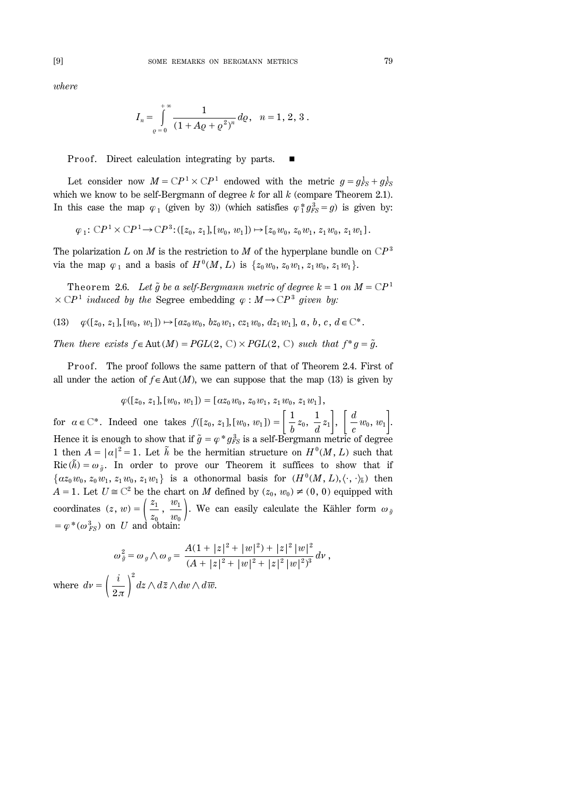*where*

$$
I_n = \int_{\varrho=0}^{+\infty} \frac{1}{(1 + A\varrho + \varrho^2)^n} \, d\varrho, \quad n = 1, 2, 3.
$$

Proof. Direct calculation integrating by parts.

Let consider now  $M = CP^1 \times CP^1$  endowed with the metric  $g = g_{FS}^1 + g_{FS}^1$ which we know to be self-Bergmann of degree *k* for all *k* (compare Theorem 2.1). In this case the map  $\varphi_1$  (given by 3)) (which satisfies  $\varphi_1^* g_{FS}^3 = g$ ) is given by:

$$
\varphi_1: \mathbb{C}P^1 \times \mathbb{C}P^1 \to \mathbb{C}P^3: ([z_0, z_1], [w_0, w_1]) \mapsto [z_0w_0, z_0w_1, z_1w_0, z_1w_1].
$$

The polarization *L* on *M* is the restriction to *M* of the hyperplane bundle on  $\mathbb{C}P^3$ via the map  $\varphi_1$  and a basis of  $H^0(M, L)$  is  $\{z_0 w_0, z_0 w_1, z_1 w_0, z_1 w_1\}.$ 

Theorem 2.6. Let  $\tilde{g}$  be a self-Bergmann metric of degree  $k=1$  on  $M=\mathbb{C}P^1$  $\times$  CP<sup>1</sup> induced by the Segree embedding  $\varphi$  :  $M \rightarrow CP^3$  given by:

 $\varphi([z_0, z_1], [w_0, w_1]) \mapsto [az_0 w_0, bz_0 w_1, cz_1 w_0, dz_1 w_1], a, b, c, d \in \mathbb{C}^*.$ 

*Then there exists*  $f \in Aut(M) = PGL(2, \mathbb{C}) \times PGL(2, \mathbb{C})$  *such that*  $f^*g = \tilde{g}$ *.* 

Proof. The proof follows the same pattern of that of Theorem 2.4. First of all under the action of  $f \in Aut(M)$ , we can suppose that the map (13) is given by

 $\varphi([z_0, z_1], [w_0, w_1]) = [\alpha z_0 w_0, z_0 w_1, z_1 w_0, z_1 w_1],$ 

for  $\alpha \in \mathbb{C}^*$ . Indeed one takes  $f([z_0, z_1], [w_0, w_1]) = \left[ \frac{1}{b} z_0, \frac{1}{d} z_1 \right], \left[ \frac{d}{c} w_0, w_1 \right]$ . Hence it is enough to show that if  $\tilde{g} = \varphi * g_{FS}^3$  is a self-Bergmann metric of degree 1 then  $A = |\alpha|^2 = 1$ . Let  $\tilde{h}$  be the hermitian structure on  $H^0(M, L)$  such that  $Ric(\tilde{h}) = \omega_{\tilde{g}}$ . In order to prove our Theorem it suffices to show that if  $\{az_0 w_0, z_0 w_1, z_1 w_0, z_1 w_1\}$  is a othonormal basis for  $(H^0(M, L), \langle \cdot, \cdot \rangle_{\tilde{h}})$  then *A* = 1. Let  $U \cong \mathbb{C}^2$  be the chart on *M* defined by  $(z_0, w_0) \neq (0, 0)$  equipped with coordinates  $(z, w) = \left(\frac{z_1}{z_0}\right)$  $, \frac{w_1}{w_1}$  $\left(\frac{w_1}{w_0}\right)$ . We can easily calculate the Kähler form  $\omega_{\tilde{g}}$  $=\varphi^*(\omega_{FS}^3)$  on *U* and obtain:

$$
\omega_{\tilde{g}}^2 = \omega_g \wedge \omega_g = \frac{A(1+|z|^2+|w|^2)+|z|^2|w|^2}{(A+|z|^2+|w|^2+|z|^2|w|^2)^3} dv,
$$
  
where  $dv = \left(\frac{i}{2\pi}\right)^2 dz \wedge d\overline{z} \wedge dw \wedge d\overline{w}.$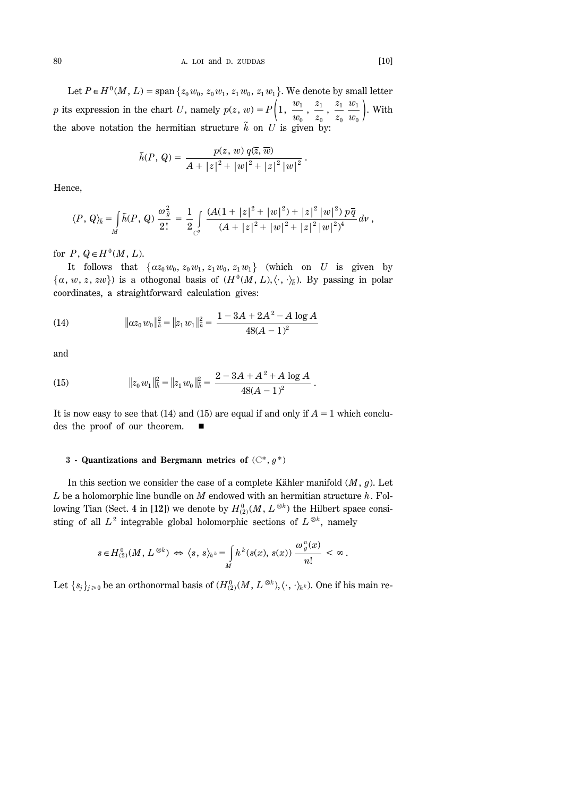Let  $P \in H^0(M, L) = \text{span} \{z_0 w_0, z_0 w_1, z_1 w_0, z_1 w_1\}$ . We denote by small letter *p* its expression in the chart *U*, namely  $p(z, w) = P\left(1, \frac{w_1}{w_0}\right)$  $\frac{z_1}{z_2}$ *z*0  $\frac{z_1}{z_2}$ *z*0  $w_1$  $\frac{w_1}{w_0}$  ). With the above notation the hermitian structure  $\tilde{h}$  on *U* is given by:

$$
\tilde{h}(P, Q) = \frac{p(z, w) q(\overline{z}, \overline{w})}{A + |z|^2 + |w|^2 + |z|^2 |w|^2}.
$$

Hence,

$$
\langle P, Q \rangle_{\tilde{h}} = \int\limits_{M} \tilde{h}(P, Q) \, \frac{\omega_{\tilde{g}}^2}{2!} = \frac{1}{2} \int\limits_{C^2} \frac{(A(1+|z|^2 + |w|^2) + |z|^2 |w|^2) \, p \overline{q}}{(A + |z|^2 + |w|^2 + |z|^2 |w|^2)^4} \, dv \, ,
$$

for  $P$ ,  $Q \in H^0(M, L)$ .

It follows that  $\{az_0 w_0, z_0 w_1, z_1 w_0, z_1 w_1\}$  (which on *U* is given by  $\{a, w, z, zw\}$  is a othogonal basis of  $(H^0(M, L), \langle \cdot, \cdot \rangle_{\tilde{h}})$ . By passing in polar coordinates, a straightforward calculation gives:

(14) 
$$
\|az_0w_0\|_{\tilde{h}}^2 = \|z_1w_1\|_{\tilde{h}}^2 = \frac{1 - 3A + 2A^2 - A \log A}{48(A - 1)^2}
$$

and

(15) 
$$
||z_0 w_1||_h^2 = ||z_1 w_0||_h^2 = \frac{2 - 3A + A^2 + A \log A}{48(A - 1)^2}.
$$

It is now easy to see that (14) and (15) are equal if and only if  $A=1$  which concludes the proof of our theorem.  $\blacksquare$ 

# **3 - Quantizations and Bergmann metrics of** (C\*, *g* \*)

In this section we consider the case of a complete Kähler manifold (*M*, *g*). Let *L* be a holomorphic line bundle on *M* endowed with an hermitian structure *h*. Following Tian (Sect. 4 in [12]) we denote by  $H_{(2)}^{0}(M, L^{\otimes k})$  the Hilbert space consisting of all  $L^2$  integrable global holomorphic sections of  $L^{\otimes k}$ , namely

$$
s \in H^0_{(2)}(M, L^{\otimes k}) \Leftrightarrow \langle s, s \rangle_{h^k} = \int_M h^k(s(x), s(x)) \frac{\omega_g^n(x)}{n!} < \infty.
$$

Let  $\{s_j\}_{j\geq 0}$  be an orthonormal basis of  $(H_{(2)}^0(M, L^{\otimes k}), \langle \cdot, \cdot \rangle_{h^k})$ . One if his main re-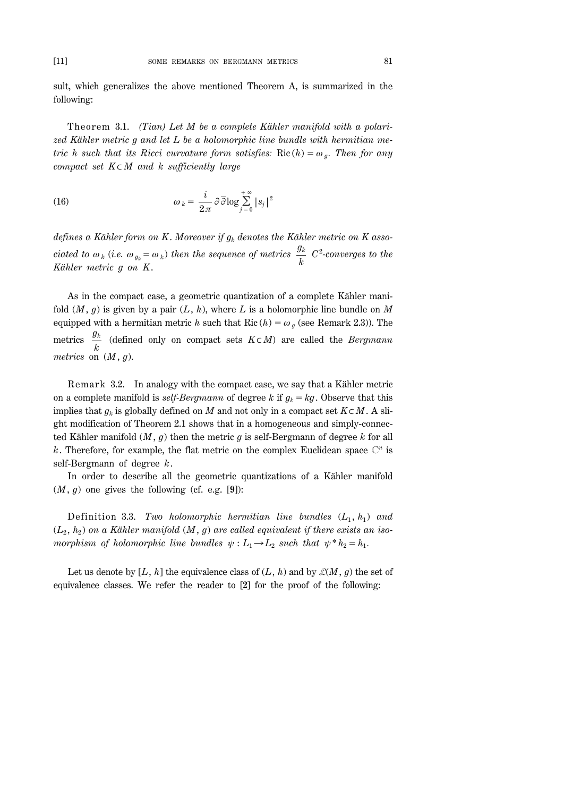sult, which generalizes the above mentioned Theorem A, is summarized in the following:

Theorem 3.1. *(Tian)* Let M be a complete Kähler manifold with a polari*zed Kähler metric g and let L be a holomorphic line bundle with hermitian metric h such that its Ricci curvature form satisfies:* Ric $(h) = \omega_a$ . Then for any *compact set K*%*M and k sufficiently large*

(16) 
$$
\omega_k = \frac{i}{2\pi} \partial \overline{\partial} \log \sum_{j=0}^{+\infty} |s_j|^2
$$

*defines a Kähler form on K*. *Moreover if gk denotes the Kähler metric on K associated to*  $\omega_k$  (*i.e.*  $\omega_{g_k} = \omega_k$ ) *then the sequence of metrics*  $\frac{g_k}{k}$ <br>*K*<sup>*k*</sup> *k C*2 *-converges to the Kähler metric g on K*.

As in the compact case, a geometric quantization of a complete Kähler manifold  $(M, g)$  is given by a pair  $(L, h)$ , where L is a holomorphic line bundle on M equipped with a hermitian metric *h* such that Ric  $(h) = \omega_q$  (see Remark 2.3)). The metrics  $\frac{g_k}{k}$  (defined only on compact sets  $K \subset M$ ) are called the *Bergmann metrics* on (*M*, *g*).

Remark 3.2. In analogy with the compact case, we say that a Kähler metric on a complete manifold is *self-Bergmann* of degree *k* if  $g_k = kg$ . Observe that this implies that  $g_k$  is globally defined on *M* and not only in a compact set  $K \subset M$ . A slight modification of Theorem 2.1 shows that in a homogeneous and simply-connected Kähler manifold (*M*, *g*) then the metric *g* is self-Bergmann of degree *k* for all k. Therefore, for example, the flat metric on the complex Euclidean space  $\mathbb{C}^n$  is self-Bergmann of degree *k*.

In order to describe all the geometric quantizations of a Kähler manifold  $(M, g)$  one gives the following (cf. e.g. [9]):

Definition 3.3. *Two holomorphic hermitian line bundles*  $(L_1, h_1)$  and  $(L_2, h_2)$  on a Kähler manifold  $(M, g)$  are called equivalent if there exists an iso*morphism of holomorphic line bundles*  $\psi : L_1 \rightarrow L_2$  *such that*  $\psi^* h_2 = h_1$ .

Let us denote by [L, h] the equivalence class of  $(L, h)$  and by  $\mathcal{L}(M, g)$  the set of equivalence classes. We refer the reader to [**2**] for the proof of the following: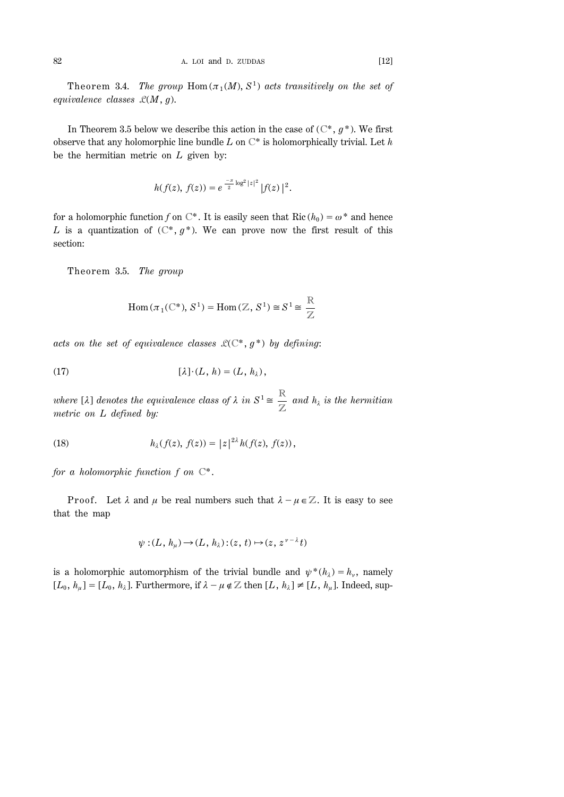Theorem 3.4. *The group*  $Hom(\pi_1(M), S^1)$  *acts transitively on the set of equivalence classes* L(*M*, *g*).

In Theorem 3.5 below we describe this action in the case of  $(\mathbb{C}^*, g^*)$ . We first observe that any holomorphic line bundle *L* on C\* is holomorphically trivial. Let *h* be the hermitian metric on *L* given by:

$$
h(f(z), f(z)) = e^{-\frac{-\pi}{2} \log^2 |z|^2} |f(z)|^2.
$$

for a holomorphic function *f* on  $\mathbb{C}^*$ . It is easily seen that Ric  $(h_0) = \omega^*$  and hence *L* is a quantization of  $(\mathbb{C}^*, g^*)$ . We can prove now the first result of this section:

Theorem 3.5. *The group* 

$$
\mathrm{Hom}\,(\pi_1(\mathbb{C}^*), S^1) = \mathrm{Hom}\,(\mathbb{Z}, S^1) \cong S^1 \cong \frac{\mathbb{R}}{\mathbb{Z}}
$$

*acts on the set of equivalence classes*  $\mathcal{L}(\mathbb{C}^*, g^*)$  *by defining:* 

(17) 
$$
[\lambda] \cdot (L, h) = (L, h_\lambda),
$$

*where* [ $\lambda$ ] *denotes the equivalence class of*  $\lambda$  *in*  $S^1 \cong \frac{R}{\epsilon}$ Z *and h<sup>l</sup> is the hermitian metric on L defined by:*

(18) 
$$
h_{\lambda}(f(z), f(z)) = |z|^{2\lambda} h(f(z), f(z)),
$$

*for a holomorphic function f on* C\*.

Proof. Let  $\lambda$  and  $\mu$  be real numbers such that  $\lambda - \mu \in \mathbb{Z}$ . It is easy to see that the map

$$
\psi: (L, h_{\mu}) \to (L, h_{\lambda}): (z, t) \mapsto (z, z^{\nu - \lambda} t)
$$

is a holomorphic automorphism of the trivial bundle and  $\psi^*(h_\lambda) = h_\nu$ , namely  $[L_0, h_\mu] = [L_0, h_\lambda]$ . Furthermore, if  $\lambda - \mu \notin \mathbb{Z}$  then  $[L, h_\lambda] \neq [L, h_\mu]$ . Indeed, sup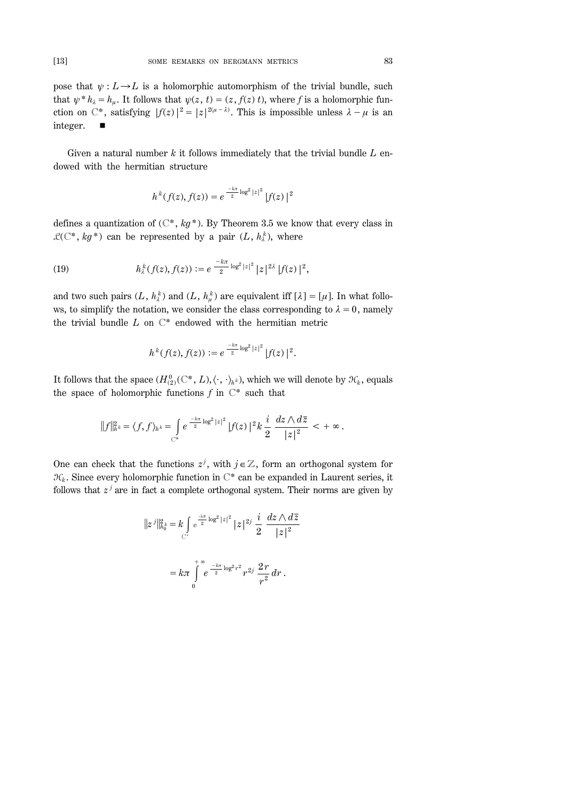pose that  $\psi: L \rightarrow L$  is a holomorphic automorphism of the trivial bundle, such that  $\psi^* h_\lambda = h_\mu$ . It follows that  $\psi(z, t) = (z, f(z) t)$ , where *f* is a holomorphic function on C<sup>\*</sup>, satisfying  $|f(z)|^2 = |z|^{2(\mu - \lambda)}$ . This is impossible unless  $\lambda - \mu$  is an integer.  $\blacksquare$ 

Given a natural number *k* it follows immediately that the trivial bundle *L* endowed with the hermitian structure

$$
h^k(f(z), f(z)) = e^{-\frac{-k\pi}{2}\log^2|z|^2} |f(z)|^2
$$

defines a quantization of  $(\mathbb{C}^*, kg^*)$ . By Theorem 3.5 we know that every class in  $\mathcal{L}(\mathbb{C}^*, k g^*)$  can be represented by a pair  $(L, h^k)$ , where

(19) 
$$
h_{\lambda}^{k}(f(z), f(z)) := e^{-\frac{k\pi}{2}\log^{2}|z|^{2}}|z|^{2\lambda}|f(z)|^{2},
$$

and two such pairs  $(L, h_k^k)$  and  $(L, h_\mu^k)$  are equivalent iff  $[\lambda] = [\mu]$ . In what follows, to simplify the notation, we consider the class corresponding to  $\lambda = 0$ , namely the trivial bundle *L* on C\* endowed with the hermitian metric

$$
h^k(f(z), f(z)) := e^{-\frac{-k\pi}{2}\log^2|z|^2} |f(z)|^2.
$$

It follows that the space  $(H_{(2)}^0(\mathbb{C}^*, L), \langle \cdot, \cdot \rangle_{h^k})$ , which we will denote by  $\mathcal{H}_k$ , equals the space of holomorphic functions  $f$  in  $\mathbb{C}^*$  such that

$$
||f||_{h^k}^2 = \langle f, f \rangle_{h^k} = \int_{\mathbb{C}^*} e^{-\frac{k\pi}{2} \log^2 |z|^2} |f(z)|^2 k \frac{i}{2} \frac{dz \wedge d\overline{z}}{|z|^2} < +\infty.
$$

One can check that the functions  $z^j$ , with  $j \in \mathbb{Z}$ , form an orthogonal system for  $\mathcal{H}_k$ . Since every holomorphic function in  $\mathbb{C}^*$  can be expanded in Laurent series, it follows that  $z^j$  are in fact a complete orthogonal system. Their norms are given by

$$
||z^{j}||_{h_{0}^{k}}^{2} = k \int_{C^{*}} e^{\frac{-k\pi}{2} \log^{2} |z|^{2}} |z|^{2j} \frac{i}{2} \frac{dz \wedge d\overline{z}}{|z|^{2}}
$$

$$
= k\pi \int_{0}^{+\infty} e^{\frac{-k\pi}{2} \log^{2} r^{2}} r^{2j} \frac{2r}{r^{2}} dr.
$$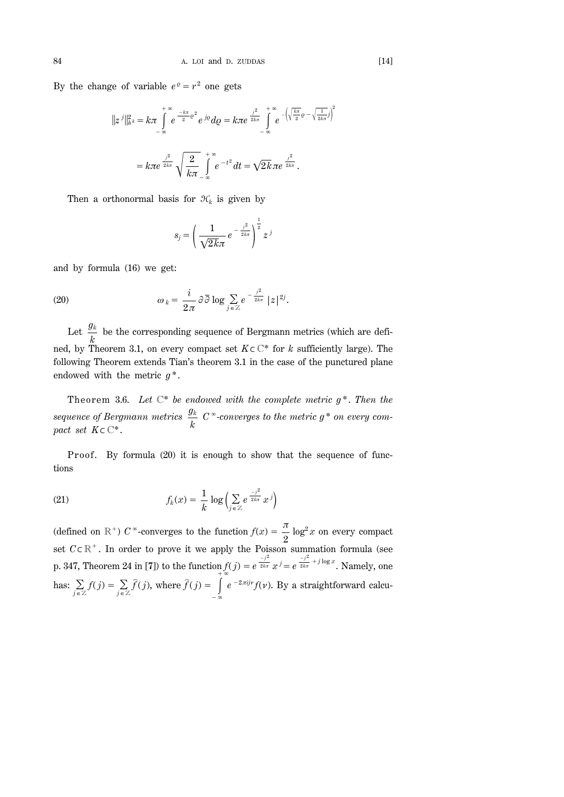By the change of variable  $e^{q} = r^{2}$  one gets

$$
||z^{j}||_{h^{k}}^{2} = k\pi \int_{-\infty}^{+\infty} e^{-\frac{k\pi}{2} \rho^{2}} e^{j\theta} d\rho = k\pi e^{\frac{j^{2}}{2k\pi}} \int_{-\infty}^{+\infty} e^{-\left(\sqrt{\frac{k\pi}{2}} \rho - \sqrt{\frac{1}{2k\pi}} j\right)^{2}}
$$

$$
= k\pi e^{\frac{j^{2}}{2k\pi}} \sqrt{\frac{2}{k\pi}} \int_{-\infty}^{+\infty} e^{-t^{2}} dt = \sqrt{2k} \pi e^{\frac{j^{2}}{2k\pi}}.
$$

Then a orthonormal basis for  $\mathcal{H}_k$  is given by

$$
s_j = \left(\frac{1}{\sqrt{2k\pi}}e^{-\frac{j^2}{2k\pi}}\right)^{\frac{1}{2}}z^j
$$

and by formula (16) we get:

(20) 
$$
\omega_k = \frac{i}{2\pi} \partial \overline{\partial} \log \sum_{j \in \mathbb{Z}} e^{-\frac{j^2}{2k\pi}} |z|^{2j}.
$$

Let  $\frac{g_k}{k}$  be the corresponding sequence of Bergmann metrics (which are defined, by Theorem 3.1, on every compact set  $K \subset \mathbb{C}^*$  for *k* sufficiently large). The following Theorem extends Tian's theorem 3.1 in the case of the punctured plane endowed with the metric *g* \*.

Theorem 3.6. Let  $\mathbb{C}^*$  *be endowed with the complete metric g<sup>\*</sup>. Then the sequence of Bergmann metrics gk k*  $C^{\infty}$ -converges to the metric  $g^*$  on every com*pact set*  $K \subset \mathbb{C}^*$ .

Proof. By formula (20) it is enough to show that the sequence of functions

(21) 
$$
f_k(x) = \frac{1}{k} \log \left( \sum_{j \in \mathbb{Z}} e^{\frac{-j^2}{2k\pi}} x^j \right)
$$

(defined on  $\mathbb{R}^+$ ) *C*  $\infty$ -converges to the function  $f(x) = \frac{\pi}{2} \log^2 x$  on every compact set  $C \subset \mathbb{R}^+$ . In order to prove it we apply the Poisson summation formula (see p. 347, Theorem 24 in [7]) to the function  $f(j) = e$  $\frac{-j^2}{2k\pi} x^j = e$  $\frac{-j^2}{2k\pi}$  <sup>+  $j$  log  $x$ </sup>. Namely, one has:  $\sum_{j \in \mathbb{Z}} f(j) = \sum_{j \in \mathbb{Z}} \widehat{f}(j)$ , where  $\widehat{f}(j) = \int_{\mathbb{Z}}^{+\infty} f(j)$  $-\infty$  $e^{-2\pi i j\nu} f(\nu)$ . By a straightforward calcu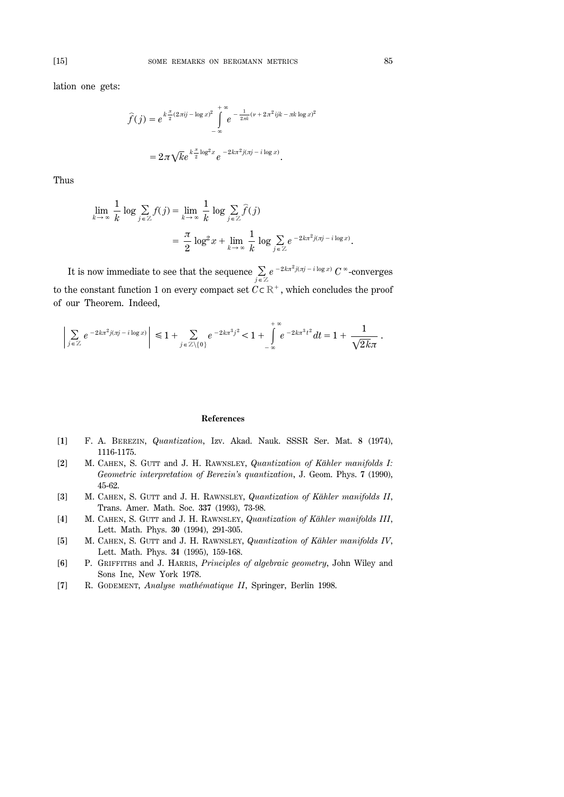lation one gets:

$$
\widehat{f}(j) = e^{k\frac{\pi}{2}(2\pi i j - \log x)^2} \int_{-\infty}^{+\infty} e^{-\frac{1}{2\pi k}(v + 2\pi^2 ijk - \pi k \log x)^2}
$$

$$
= 2\pi \sqrt{k} e^{k\frac{\pi}{2}\log^2 x} e^{-2k\pi^2 j(\pi j - i\log x)}.
$$

Thus

$$
\lim_{k \to \infty} \frac{1}{k} \log \sum_{j \in \mathbb{Z}} f(j) = \lim_{k \to \infty} \frac{1}{k} \log \sum_{j \in \mathbb{Z}} \widehat{f}(j)
$$

$$
= \frac{\pi}{2} \log^2 x + \lim_{k \to \infty} \frac{1}{k} \log \sum_{j \in \mathbb{Z}} e^{-2k\pi^2 j(\pi j - i \log x)}.
$$

It is now immediate to see that the sequence  $\sum_{j\in\mathbb{Z}}e^{-2kx^2j(\pi j-i\log x)}C^{\infty}$ -converges to the constant function 1 on every compact set  $C \subset \mathbb{R}^+$ , which concludes the proof of our Theorem. Indeed,

$$
\left| \sum_{j \in \mathbb{Z}} e^{-2k\pi^2 j (\pi j - i \log x)} \right| \leq 1 + \sum_{j \in \mathbb{Z} \setminus \{0\}} e^{-2k\pi^3 j^2} < 1 + \int_{-\infty}^{+\infty} e^{-2k\pi^3 t^2} dt = 1 + \frac{1}{\sqrt{2k\pi}}.
$$

#### **References**

- [**1**] F. A. BEREZIN, *Quantization*, Izv. Akad. Nauk. SSSR Ser. Mat. **8** (1974), 1116-1175.
- [**2**] M. CAHEN, S. GUTT and J. H. RAWNSLEY, *Quantization of Kähler manifolds I: Geometric interpretation of Berezin's quantization*, J. Geom. Phys. **7** (1990), 45-62.
- [**3**] M. CAHEN, S. GUTT and J. H. RAWNSLEY, *Quantization of Kähler manifolds II*, Trans. Amer. Math. Soc. **337** (1993), 73-98.
- [**4**] M. CAHEN, S. GUTT and J. H. RAWNSLEY, *Quantization of Kähler manifolds III*, Lett. Math. Phys. **30** (1994), 291-305.
- [**5**] M. CAHEN, S. GUTT and J. H. RAWNSLEY, *Quantization of Kähler manifolds IV*, Lett. Math. Phys. **34** (1995), 159-168.
- [**6**] P. GRIFFITHS and J. HARRIS, *Principles of algebraic geometry*, John Wiley and Sons Inc, New York 1978.
- [**7**] R. GODEMENT, *Analyse mathématique II*, Springer, Berlin 1998.